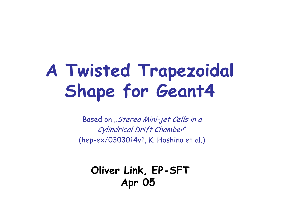# **A Twisted Trapezoidal Shape for Geant4**

Based on "Stereo Mini-jet Cells in a Cylindrical Drift Chamber" (hep-ex/0303014v1, K. Hoshina et al.)

**Oliver Link, EP-SFT Apr 05**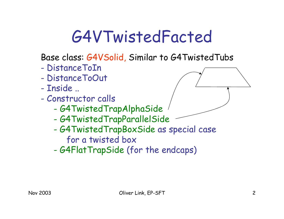## G4VTwistedFacted

Base class: G4VSolid, Similar to G4TwistedTubs

- DistanceToIn
- DistanceToOut
- Inside ..
- Constructor calls
	- G4TwistedTrapAlphaSide
	- -G4TwistedTrapParallelSide
	- - G4TwistedTrapBoxSide as special case
		- for a twisted box
	- -G4FlatTrapSide (for the endcaps)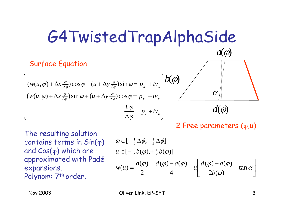### G4TwistedTrapAlphaSide

#### Surface Equation

$$
\begin{pmatrix}\n(w(u,\varphi) + \Delta x \frac{\varphi}{\Delta \varphi}) \cos \varphi - (u + \Delta y \frac{\varphi}{\Delta \varphi}) \sin \varphi = p_x + tv_x \\
(w(u,\varphi) + \Delta x \frac{\varphi}{\Delta \varphi}) \sin \varphi + (u + \Delta y \frac{\varphi}{\Delta \varphi}) \cos \varphi = p_y + tv_y \\
\frac{L\varphi}{\Delta \varphi} = p_z + tv_z\n\end{pmatrix}
$$

 $\partial$  $a(\varphi)$  $d(\varphi)$  $\alpha$ 

2 Free parameters ( <sup>ϕ</sup>,u)

The resulting solution contains terms in  $\mathsf{Sin}(\phi)$ and Cos( <sup>ϕ</sup>) which are approximated with Padé expansions. Polynom: 7<sup>th</sup> order.

$$
\varphi \in \left[-\frac{1}{2}\Delta\phi, +\frac{1}{2}\Delta\phi\right]
$$
  
\n
$$
u \in \left[-\frac{1}{2}b(\varphi), +\frac{1}{2}b(\varphi)\right]
$$
  
\n
$$
w(u) = \frac{a(\varphi)}{2} + \frac{d(\varphi) - a(\varphi)}{4} - u \left[\frac{d(\varphi) - a(\varphi)}{2b(\varphi)} - \tan\alpha\right]
$$

⎜ ⎜ ⎜ ⎜ ⎜ ⎜

Nov 2003 Cliver Link, EP-SFT 3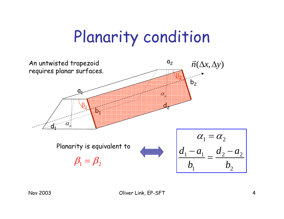## Planarity condition

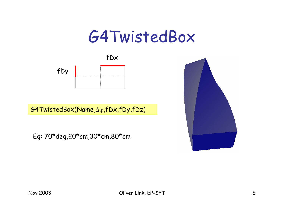#### G4TwistedBox

fDx



G4TwistedBox(Name,Δϕ,fDx,fDy,fDz)

Eg: 70\*deg,20\*cm,30\*cm,80\*cm

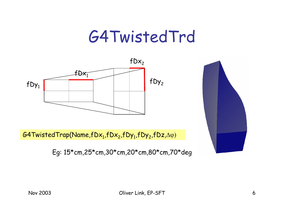#### G4TwistedTrd



 $\mathsf{\mathcal{G}4TwistedTrap(Name,fDx}_{1},fDx_{2},fDy_{1},fDy_{2},fDz,\Delta\phi)}$ 

Eg: 15\*cm,25\*cm,30\*cm,20\*cm,80\*cm,70\*deg

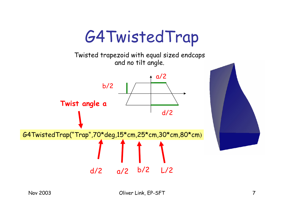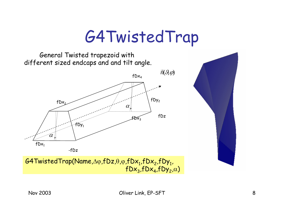#### G4TwistedTrap

General Twisted trapezoid with different sized endcaps and and tilt angle.



 $\mathsf{\mathsf{G4TwistedTrap(Name,\Delta}\phi,fDz,\theta,\phi,fDx}_1,fDx_2,fDy_1,\mathsf{\mathsf{\mathsf{\mathsf{Q}}}\mathsf{\mathsf{\mathsf{C}}}}$  $\mathsf{fDx}_3$ , $\mathsf{fDx}_4$ , $\mathsf{fDy}_2$ , $\alpha$ )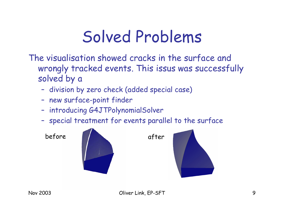## Solved Problems

The visualisation showed cracks in the surface and wrongly tracked events. This issus was successfully solved by a

- –division by zero check (added special case)
- –new surface-point finder
- –introducing G4JTPolynomialSolver
- –special treatment for events parallel to the surface

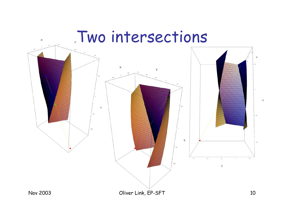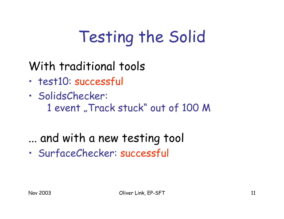# Testing the Solid

With traditional tools

- •test10: successful
- • SolidsChecker:
	- 1 event "Track stuck" out of 100 M
- ... and with a new testing tool
- •SurfaceChecker: successful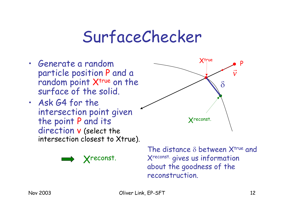#### SurfaceChecker

- Generate a random particle position P and a random point X<sup>true</sup> on the surface of the solid.
- Ask G4 for the intersection point given the point P and its direction v (select the intersection closest to Xtrue).



The distance  $\delta$  between  $\mathsf{X}^{\mathsf{true}}$  and Xreconst. gives us information about the goodness of the reconstruction.

Xreconst.

Xtrue

P

*v* $\rightarrow$ 

δ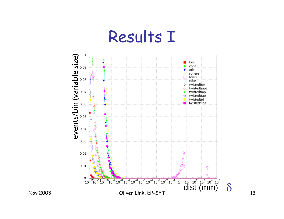#### Results I

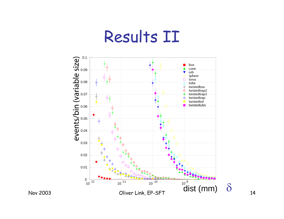#### Results II